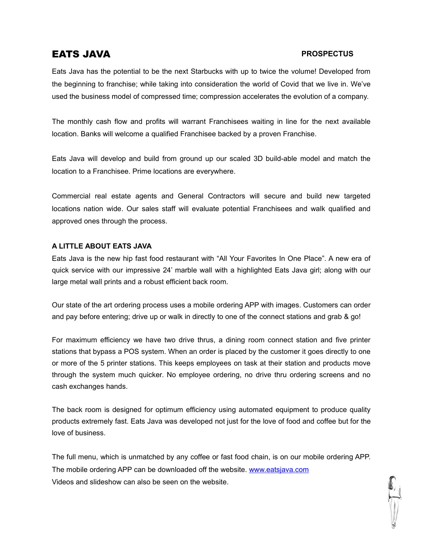# EATS JAVA

# **PROSPECTUS**

Eats Java has the potential to be the next Starbucks with up to twice the volume! Developed from the beginning to franchise; while taking into consideration the world of Covid that we live in. We've used the business model of compressed time; compression accelerates the evolution of a company.

The monthly cash flow and profits will warrant Franchisees waiting in line for the next available location. Banks will welcome a qualified Franchisee backed by a proven Franchise.

Eats Java will develop and build from ground up our scaled 3D build-able model and match the location to a Franchisee. Prime locations are everywhere.

Commercial real estate agents and General Contractors will secure and build new targeted locations nation wide. Our sales staff will evaluate potential Franchisees and walk qualified and approved ones through the process.

# **A LITTLE ABOUT EATS JAVA**

Eats Java is the new hip fast food restaurant with "All Your Favorites In One Place". A new era of quick service with our impressive 24' marble wall with a highlighted Eats Java girl; along with our large metal wall prints and a robust efficient back room.

Our state of the art ordering process uses a mobile ordering APP with images. Customers can order and pay before entering; drive up or walk in directly to one ofthe connect stations and grab & go!

For maximum efficiency we have two drive thrus, a dining room connect station and five printer stations that bypass a POS system. When an order is placed by the customer it goes directly to one or more of the 5 printer stations. This keeps employees on task at their station and products move through the system much quicker. No employee ordering, no drive thru ordering screens and no cash exchanges hands.

The back room is designed for optimum efficiency using automated equipment to produce quality products extremely fast. Eats Java was developed not just for the love of food and coffee but for the love of business.

The full menu, which is unmatched by any coffee or fast food chain, is on our mobile ordering APP. The mobile ordering APP can be downloaded off the website. [www.eatsjava.com](http://www.eatsjava.com) Videos and slideshow can also be seen on the website.